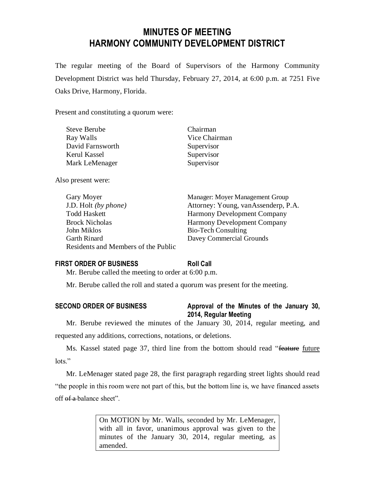# **MINUTES OF MEETING HARMONY COMMUNITY DEVELOPMENT DISTRICT**

The regular meeting of the Board of Supervisors of the Harmony Community Development District was held Thursday, February 27, 2014, at 6:00 p.m. at 7251 Five Oaks Drive, Harmony, Florida.

Present and constituting a quorum were:

| <b>Steve Berube</b> | Chairman      |
|---------------------|---------------|
| Ray Walls           | Vice Chairman |
| David Farnsworth    | Supervisor    |
| Kerul Kassel        | Supervisor    |
| Mark LeMenager      | Supervisor    |
|                     |               |

Also present were:

| Gary Moyer                                 | Manager: Moyer Management Group     |
|--------------------------------------------|-------------------------------------|
| J.D. Holt (by phone)                       | Attorney: Young, vanAssenderp, P.A. |
| Todd Haskett                               | <b>Harmony Development Company</b>  |
| <b>Brock Nicholas</b>                      | <b>Harmony Development Company</b>  |
| John Miklos                                | <b>Bio-Tech Consulting</b>          |
| Garth Rinard                               | Davey Commercial Grounds            |
| <b>Residents and Members of the Public</b> |                                     |

## **FIRST ORDER OF BUSINESS Roll Call**

Mr. Berube called the meeting to order at 6:00 p.m.

Mr. Berube called the roll and stated a quorum was present for the meeting.

## **SECOND ORDER OF BUSINESS Approval of the Minutes of the January 30, 2014, Regular Meeting**

Mr. Berube reviewed the minutes of the January 30, 2014, regular meeting, and requested any additions, corrections, notations, or deletions.

Ms. Kassel stated page 37, third line from the bottom should read "feature future lots<sup>"</sup>

Mr. LeMenager stated page 28, the first paragraph regarding street lights should read "the people in this room were not part of this, but the bottom line is, we have financed assets off  $ef a$ -balance sheet".

> On MOTION by Mr. Walls, seconded by Mr. LeMenager, with all in favor, unanimous approval was given to the minutes of the January 30, 2014, regular meeting, as amended.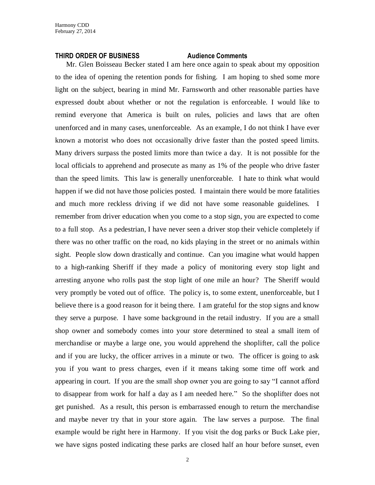#### **THIRD ORDER OF BUSINESS Audience Comments**

Mr. Glen Boisseau Becker stated I am here once again to speak about my opposition to the idea of opening the retention ponds for fishing. I am hoping to shed some more light on the subject, bearing in mind Mr. Farnsworth and other reasonable parties have expressed doubt about whether or not the regulation is enforceable. I would like to remind everyone that America is built on rules, policies and laws that are often unenforced and in many cases, unenforceable. As an example, I do not think I have ever known a motorist who does not occasionally drive faster than the posted speed limits. Many drivers surpass the posted limits more than twice a day. It is not possible for the local officials to apprehend and prosecute as many as 1% of the people who drive faster than the speed limits. This law is generally unenforceable. I hate to think what would happen if we did not have those policies posted. I maintain there would be more fatalities and much more reckless driving if we did not have some reasonable guidelines. I remember from driver education when you come to a stop sign, you are expected to come to a full stop. As a pedestrian, I have never seen a driver stop their vehicle completely if there was no other traffic on the road, no kids playing in the street or no animals within sight. People slow down drastically and continue. Can you imagine what would happen to a high-ranking Sheriff if they made a policy of monitoring every stop light and arresting anyone who rolls past the stop light of one mile an hour? The Sheriff would very promptly be voted out of office. The policy is, to some extent, unenforceable, but I believe there is a good reason for it being there. I am grateful for the stop signs and know they serve a purpose. I have some background in the retail industry. If you are a small shop owner and somebody comes into your store determined to steal a small item of merchandise or maybe a large one, you would apprehend the shoplifter, call the police and if you are lucky, the officer arrives in a minute or two. The officer is going to ask you if you want to press charges, even if it means taking some time off work and appearing in court. If you are the small shop owner you are going to say "I cannot afford to disappear from work for half a day as I am needed here." So the shoplifter does not get punished. As a result, this person is embarrassed enough to return the merchandise and maybe never try that in your store again. The law serves a purpose. The final example would be right here in Harmony. If you visit the dog parks or Buck Lake pier, we have signs posted indicating these parks are closed half an hour before sunset, even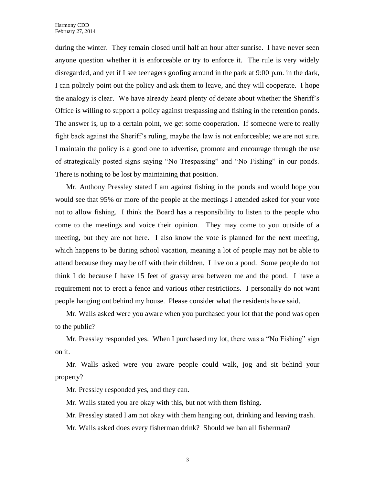during the winter. They remain closed until half an hour after sunrise. I have never seen anyone question whether it is enforceable or try to enforce it. The rule is very widely disregarded, and yet if I see teenagers goofing around in the park at 9:00 p.m. in the dark, I can politely point out the policy and ask them to leave, and they will cooperate. I hope the analogy is clear. We have already heard plenty of debate about whether the Sheriff's Office is willing to support a policy against trespassing and fishing in the retention ponds. The answer is, up to a certain point, we get some cooperation. If someone were to really fight back against the Sheriff's ruling, maybe the law is not enforceable; we are not sure. I maintain the policy is a good one to advertise, promote and encourage through the use of strategically posted signs saying "No Trespassing" and "No Fishing" in our ponds. There is nothing to be lost by maintaining that position.

Mr. Anthony Pressley stated I am against fishing in the ponds and would hope you would see that 95% or more of the people at the meetings I attended asked for your vote not to allow fishing. I think the Board has a responsibility to listen to the people who come to the meetings and voice their opinion. They may come to you outside of a meeting, but they are not here. I also know the vote is planned for the next meeting, which happens to be during school vacation, meaning a lot of people may not be able to attend because they may be off with their children. I live on a pond. Some people do not think I do because I have 15 feet of grassy area between me and the pond. I have a requirement not to erect a fence and various other restrictions. I personally do not want people hanging out behind my house. Please consider what the residents have said.

Mr. Walls asked were you aware when you purchased your lot that the pond was open to the public?

Mr. Pressley responded yes. When I purchased my lot, there was a "No Fishing" sign on it.

Mr. Walls asked were you aware people could walk, jog and sit behind your property?

Mr. Pressley responded yes, and they can.

Mr. Walls stated you are okay with this, but not with them fishing.

Mr. Pressley stated I am not okay with them hanging out, drinking and leaving trash.

Mr. Walls asked does every fisherman drink? Should we ban all fisherman?

3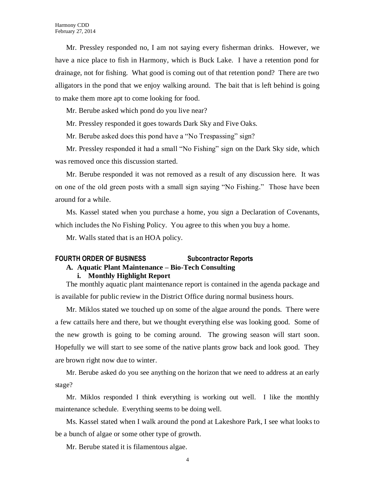Mr. Pressley responded no, I am not saying every fisherman drinks. However, we have a nice place to fish in Harmony, which is Buck Lake. I have a retention pond for drainage, not for fishing. What good is coming out of that retention pond? There are two alligators in the pond that we enjoy walking around. The bait that is left behind is going to make them more apt to come looking for food.

Mr. Berube asked which pond do you live near?

Mr. Pressley responded it goes towards Dark Sky and Five Oaks.

Mr. Berube asked does this pond have a "No Trespassing" sign?

Mr. Pressley responded it had a small "No Fishing" sign on the Dark Sky side, which was removed once this discussion started.

Mr. Berube responded it was not removed as a result of any discussion here. It was on one of the old green posts with a small sign saying "No Fishing." Those have been around for a while.

Ms. Kassel stated when you purchase a home, you sign a Declaration of Covenants, which includes the No Fishing Policy. You agree to this when you buy a home.

Mr. Walls stated that is an HOA policy.

## **FOURTH ORDER OF BUSINESS Subcontractor Reports**

## **A. Aquatic Plant Maintenance – Bio-Tech Consulting**

### **i. Monthly Highlight Report**

The monthly aquatic plant maintenance report is contained in the agenda package and is available for public review in the District Office during normal business hours.

Mr. Miklos stated we touched up on some of the algae around the ponds. There were a few cattails here and there, but we thought everything else was looking good. Some of the new growth is going to be coming around. The growing season will start soon. Hopefully we will start to see some of the native plants grow back and look good. They are brown right now due to winter.

Mr. Berube asked do you see anything on the horizon that we need to address at an early stage?

Mr. Miklos responded I think everything is working out well. I like the monthly maintenance schedule. Everything seems to be doing well.

Ms. Kassel stated when I walk around the pond at Lakeshore Park, I see what looks to be a bunch of algae or some other type of growth.

Mr. Berube stated it is filamentous algae.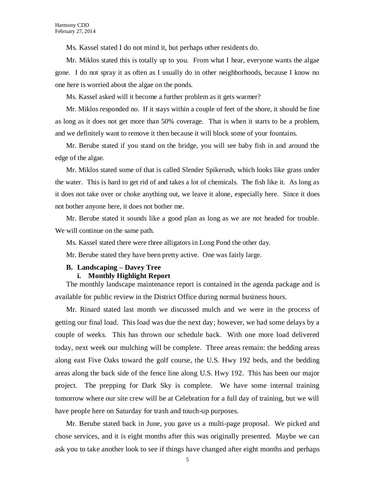Ms. Kassel stated I do not mind it, but perhaps other residents do.

Mr. Miklos stated this is totally up to you. From what I hear, everyone wants the algae gone. I do not spray it as often as I usually do in other neighborhoods, because I know no one here is worried about the algae on the ponds.

Ms. Kassel asked will it become a further problem as it gets warmer?

Mr. Miklos responded no. If it stays within a couple of feet of the shore, it should be fine as long as it does not get more than 50% coverage. That is when it starts to be a problem, and we definitely want to remove it then because it will block some of your fountains.

Mr. Berube stated if you stand on the bridge, you will see baby fish in and around the edge of the algae.

Mr. Miklos stated some of that is called Slender Spikerush, which looks like grass under the water. This is hard to get rid of and takes a lot of chemicals. The fish like it. As long as it does not take over or choke anything out, we leave it alone, especially here. Since it does not bother anyone here, it does not bother me.

Mr. Berube stated it sounds like a good plan as long as we are not headed for trouble. We will continue on the same path.

Ms. Kassel stated there were three alligators in Long Pond the other day.

Mr. Berube stated they have been pretty active. One was fairly large.

#### **B. Landscaping – Davey Tree**

#### **i. Monthly Highlight Report**

The monthly landscape maintenance report is contained in the agenda package and is available for public review in the District Office during normal business hours.

Mr. Rinard stated last month we discussed mulch and we were in the process of getting our final load. This load was due the next day; however, we had some delays by a couple of weeks. This has thrown our schedule back. With one more load delivered today, next week our mulching will be complete. Three areas remain: the bedding areas along east Five Oaks toward the golf course, the U.S. Hwy 192 beds, and the bedding areas along the back side of the fence line along U.S. Hwy 192. This has been our major project. The prepping for Dark Sky is complete. We have some internal training tomorrow where our site crew will be at Celebration for a full day of training, but we will have people here on Saturday for trash and touch-up purposes.

Mr. Berube stated back in June, you gave us a multi-page proposal. We picked and chose services, and it is eight months after this was originally presented. Maybe we can ask you to take another look to see if things have changed after eight months and perhaps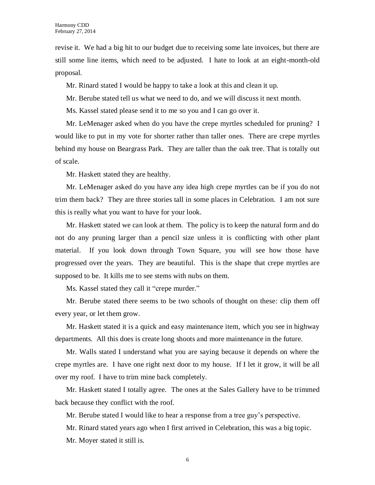revise it. We had a big hit to our budget due to receiving some late invoices, but there are still some line items, which need to be adjusted. I hate to look at an eight-month-old proposal.

Mr. Rinard stated I would be happy to take a look at this and clean it up.

Mr. Berube stated tell us what we need to do, and we will discuss it next month.

Ms. Kassel stated please send it to me so you and I can go over it.

Mr. LeMenager asked when do you have the crepe myrtles scheduled for pruning? I would like to put in my vote for shorter rather than taller ones. There are crepe myrtles behind my house on Beargrass Park. They are taller than the oak tree. That is totally out of scale.

Mr. Haskett stated they are healthy.

Mr. LeMenager asked do you have any idea high crepe myrtles can be if you do not trim them back? They are three stories tall in some places in Celebration. I am not sure this is really what you want to have for your look.

Mr. Haskett stated we can look at them. The policy is to keep the natural form and do not do any pruning larger than a pencil size unless it is conflicting with other plant material. If you look down through Town Square, you will see how those have progressed over the years. They are beautiful. This is the shape that crepe myrtles are supposed to be. It kills me to see stems with nubs on them.

Ms. Kassel stated they call it "crepe murder."

Mr. Berube stated there seems to be two schools of thought on these: clip them off every year, or let them grow.

Mr. Haskett stated it is a quick and easy maintenance item, which you see in highway departments. All this does is create long shoots and more maintenance in the future.

Mr. Walls stated I understand what you are saying because it depends on where the crepe myrtles are. I have one right next door to my house. If I let it grow, it will be all over my roof. I have to trim mine back completely.

Mr. Haskett stated I totally agree. The ones at the Sales Gallery have to be trimmed back because they conflict with the roof.

Mr. Berube stated I would like to hear a response from a tree guy's perspective.

Mr. Rinard stated years ago when I first arrived in Celebration, this was a big topic.

Mr. Moyer stated it still is.

6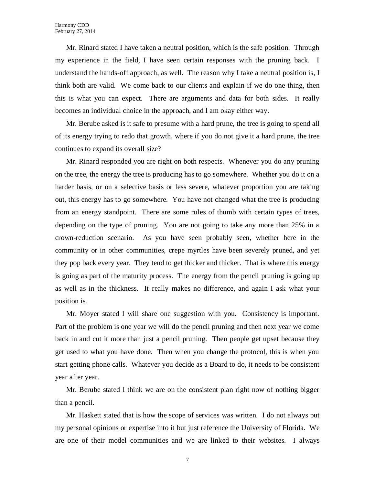Mr. Rinard stated I have taken a neutral position, which is the safe position. Through my experience in the field, I have seen certain responses with the pruning back. I understand the hands-off approach, as well. The reason why I take a neutral position is, I think both are valid. We come back to our clients and explain if we do one thing, then this is what you can expect. There are arguments and data for both sides. It really becomes an individual choice in the approach, and I am okay either way.

Mr. Berube asked is it safe to presume with a hard prune, the tree is going to spend all of its energy trying to redo that growth, where if you do not give it a hard prune, the tree continues to expand its overall size?

Mr. Rinard responded you are right on both respects. Whenever you do any pruning on the tree, the energy the tree is producing has to go somewhere. Whether you do it on a harder basis, or on a selective basis or less severe, whatever proportion you are taking out, this energy has to go somewhere. You have not changed what the tree is producing from an energy standpoint. There are some rules of thumb with certain types of trees, depending on the type of pruning. You are not going to take any more than 25% in a crown-reduction scenario. As you have seen probably seen, whether here in the community or in other communities, crepe myrtles have been severely pruned, and yet they pop back every year. They tend to get thicker and thicker. That is where this energy is going as part of the maturity process. The energy from the pencil pruning is going up as well as in the thickness. It really makes no difference, and again I ask what your position is.

Mr. Moyer stated I will share one suggestion with you. Consistency is important. Part of the problem is one year we will do the pencil pruning and then next year we come back in and cut it more than just a pencil pruning. Then people get upset because they get used to what you have done. Then when you change the protocol, this is when you start getting phone calls. Whatever you decide as a Board to do, it needs to be consistent year after year.

Mr. Berube stated I think we are on the consistent plan right now of nothing bigger than a pencil.

Mr. Haskett stated that is how the scope of services was written. I do not always put my personal opinions or expertise into it but just reference the University of Florida. We are one of their model communities and we are linked to their websites. I always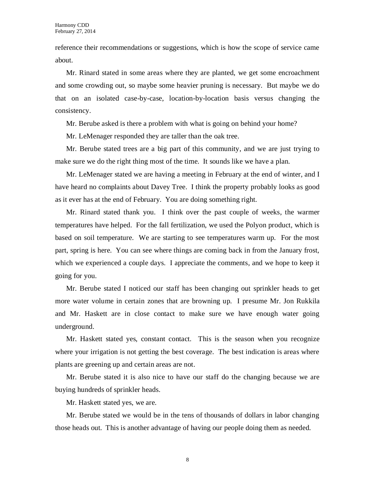reference their recommendations or suggestions, which is how the scope of service came about.

Mr. Rinard stated in some areas where they are planted, we get some encroachment and some crowding out, so maybe some heavier pruning is necessary. But maybe we do that on an isolated case-by-case, location-by-location basis versus changing the consistency.

Mr. Berube asked is there a problem with what is going on behind your home?

Mr. LeMenager responded they are taller than the oak tree.

Mr. Berube stated trees are a big part of this community, and we are just trying to make sure we do the right thing most of the time. It sounds like we have a plan.

Mr. LeMenager stated we are having a meeting in February at the end of winter, and I have heard no complaints about Davey Tree. I think the property probably looks as good as it ever has at the end of February. You are doing something right.

Mr. Rinard stated thank you. I think over the past couple of weeks, the warmer temperatures have helped. For the fall fertilization, we used the Polyon product, which is based on soil temperature. We are starting to see temperatures warm up. For the most part, spring is here. You can see where things are coming back in from the January frost, which we experienced a couple days. I appreciate the comments, and we hope to keep it going for you.

Mr. Berube stated I noticed our staff has been changing out sprinkler heads to get more water volume in certain zones that are browning up. I presume Mr. Jon Rukkila and Mr. Haskett are in close contact to make sure we have enough water going underground.

Mr. Haskett stated yes, constant contact. This is the season when you recognize where your irrigation is not getting the best coverage. The best indication is areas where plants are greening up and certain areas are not.

Mr. Berube stated it is also nice to have our staff do the changing because we are buying hundreds of sprinkler heads.

Mr. Haskett stated yes, we are.

Mr. Berube stated we would be in the tens of thousands of dollars in labor changing those heads out. This is another advantage of having our people doing them as needed.

8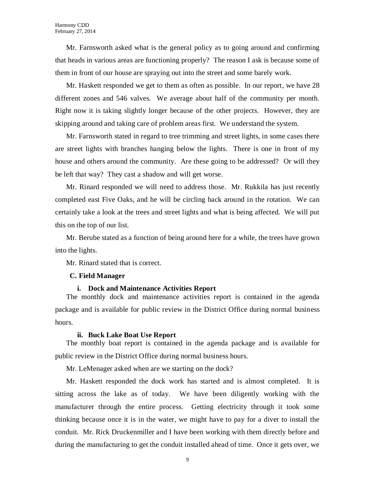Mr. Farnsworth asked what is the general policy as to going around and confirming that heads in various areas are functioning properly? The reason I ask is because some of them in front of our house are spraying out into the street and some barely work.

Mr. Haskett responded we get to them as often as possible. In our report, we have 28 different zones and 546 valves. We average about half of the community per month. Right now it is taking slightly longer because of the other projects. However, they are skipping around and taking care of problem areas first. We understand the system.

Mr. Farnsworth stated in regard to tree trimming and street lights, in some cases there are street lights with branches hanging below the lights. There is one in front of my house and others around the community. Are these going to be addressed? Or will they be left that way? They cast a shadow and will get worse.

Mr. Rinard responded we will need to address those. Mr. Rukkila has just recently completed east Five Oaks, and he will be circling back around in the rotation. We can certainly take a look at the trees and street lights and what is being affected. We will put this on the top of our list.

Mr. Berube stated as a function of being around here for a while, the trees have grown into the lights.

Mr. Rinard stated that is correct.

### **C. Field Manager**

#### **i. Dock and Maintenance Activities Report**

The monthly dock and maintenance activities report is contained in the agenda package and is available for public review in the District Office during normal business hours.

#### **ii. Buck Lake Boat Use Report**

The monthly boat report is contained in the agenda package and is available for public review in the District Office during normal business hours.

Mr. LeMenager asked when are we starting on the dock?

Mr. Haskett responded the dock work has started and is almost completed. It is sitting across the lake as of today. We have been diligently working with the manufacturer through the entire process. Getting electricity through it took some thinking because once it is in the water, we might have to pay for a diver to install the conduit. Mr. Rick Druckenmiller and I have been working with them directly before and during the manufacturing to get the conduit installed ahead of time. Once it gets over, we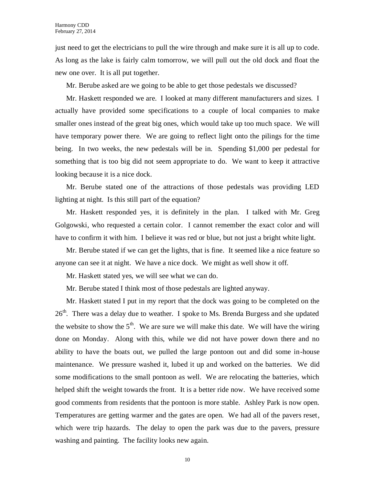just need to get the electricians to pull the wire through and make sure it is all up to code. As long as the lake is fairly calm tomorrow, we will pull out the old dock and float the new one over. It is all put together.

Mr. Berube asked are we going to be able to get those pedestals we discussed?

Mr. Haskett responded we are. I looked at many different manufacturers and sizes. I actually have provided some specifications to a couple of local companies to make smaller ones instead of the great big ones, which would take up too much space. We will have temporary power there. We are going to reflect light onto the pilings for the time being. In two weeks, the new pedestals will be in. Spending \$1,000 per pedestal for something that is too big did not seem appropriate to do. We want to keep it attractive looking because it is a nice dock.

Mr. Berube stated one of the attractions of those pedestals was providing LED lighting at night. Is this still part of the equation?

Mr. Haskett responded yes, it is definitely in the plan. I talked with Mr. Greg Golgowski, who requested a certain color. I cannot remember the exact color and will have to confirm it with him. I believe it was red or blue, but not just a bright white light.

Mr. Berube stated if we can get the lights, that is fine. It seemed like a nice feature so anyone can see it at night. We have a nice dock. We might as well show it off.

Mr. Haskett stated yes, we will see what we can do.

Mr. Berube stated I think most of those pedestals are lighted anyway.

Mr. Haskett stated I put in my report that the dock was going to be completed on the 26<sup>th</sup>. There was a delay due to weather. I spoke to Ms. Brenda Burgess and she updated the website to show the  $5<sup>th</sup>$ . We are sure we will make this date. We will have the wiring done on Monday. Along with this, while we did not have power down there and no ability to have the boats out, we pulled the large pontoon out and did some in-house maintenance. We pressure washed it, lubed it up and worked on the batteries. We did some modifications to the small pontoon as well. We are relocating the batteries, which helped shift the weight towards the front. It is a better ride now. We have received some good comments from residents that the pontoon is more stable. Ashley Park is now open. Temperatures are getting warmer and the gates are open. We had all of the pavers reset, which were trip hazards. The delay to open the park was due to the pavers, pressure washing and painting. The facility looks new again.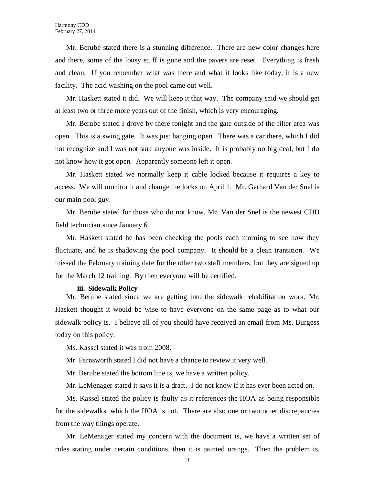Mr. Berube stated there is a stunning difference. There are new color changes here and there, some of the lousy stuff is gone and the pavers are reset. Everything is fresh and clean. If you remember what was there and what it looks like today, it is a new facility. The acid washing on the pool came out well.

Mr. Haskett stated it did. We will keep it that way. The company said we should get at least two or three more years out of the finish, which is very encouraging.

Mr. Berube stated I drove by there tonight and the gate outside of the filter area was open. This is a swing gate. It was just hanging open. There was a car there, which I did not recognize and I was not sure anyone was inside. It is probably no big deal, but I do not know how it got open. Apparently someone left it open.

Mr. Haskett stated we normally keep it cable locked because it requires a key to access. We will monitor it and change the locks on April 1. Mr. Gerhard Van der Snel is our main pool guy.

Mr. Berube stated for those who do not know, Mr. Van der Snel is the newest CDD field technician since January 6.

Mr. Haskett stated he has been checking the pools each morning to see how they fluctuate, and he is shadowing the pool company. It should be a clean transition. We missed the February training date for the other two staff members, but they are signed up for the March 12 training. By then everyone will be certified.

#### **iii. Sidewalk Policy**

Mr. Berube stated since we are getting into the sidewalk rehabilitation work, Mr. Haskett thought it would be wise to have everyone on the same page as to what our sidewalk policy is. I believe all of you should have received an email from Ms. Burgess today on this policy.

Ms. Kassel stated it was from 2008.

Mr. Farnsworth stated I did not have a chance to review it very well.

Mr. Berube stated the bottom line is, we have a written policy.

Mr. LeMenager stated it says it is a draft. I do not know if it has ever been acted on.

Ms. Kassel stated the policy is faulty as it references the HOA as being responsible for the sidewalks, which the HOA is not. There are also one or two other discrepancies from the way things operate.

Mr. LeMenager stated my concern with the document is, we have a written set of rules stating under certain conditions, then it is painted orange. Then the problem is,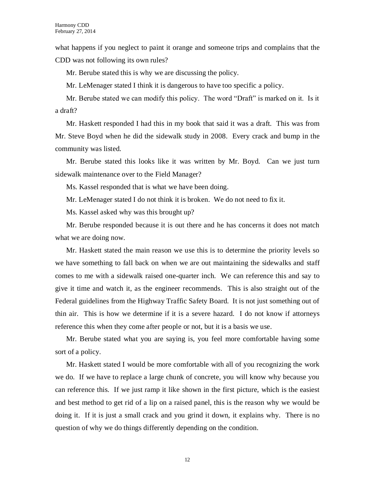what happens if you neglect to paint it orange and someone trips and complains that the CDD was not following its own rules?

Mr. Berube stated this is why we are discussing the policy.

Mr. LeMenager stated I think it is dangerous to have too specific a policy.

Mr. Berube stated we can modify this policy. The word "Draft" is marked on it. Is it a draft?

Mr. Haskett responded I had this in my book that said it was a draft. This was from Mr. Steve Boyd when he did the sidewalk study in 2008. Every crack and bump in the community was listed.

Mr. Berube stated this looks like it was written by Mr. Boyd. Can we just turn sidewalk maintenance over to the Field Manager?

Ms. Kassel responded that is what we have been doing.

Mr. LeMenager stated I do not think it is broken. We do not need to fix it.

Ms. Kassel asked why was this brought up?

Mr. Berube responded because it is out there and he has concerns it does not match what we are doing now.

Mr. Haskett stated the main reason we use this is to determine the priority levels so we have something to fall back on when we are out maintaining the sidewalks and staff comes to me with a sidewalk raised one-quarter inch. We can reference this and say to give it time and watch it, as the engineer recommends. This is also straight out of the Federal guidelines from the Highway Traffic Safety Board. It is not just something out of thin air. This is how we determine if it is a severe hazard. I do not know if attorneys reference this when they come after people or not, but it is a basis we use.

Mr. Berube stated what you are saying is, you feel more comfortable having some sort of a policy.

Mr. Haskett stated I would be more comfortable with all of you recognizing the work we do. If we have to replace a large chunk of concrete, you will know why because you can reference this. If we just ramp it like shown in the first picture, which is the easiest and best method to get rid of a lip on a raised panel, this is the reason why we would be doing it. If it is just a small crack and you grind it down, it explains why. There is no question of why we do things differently depending on the condition.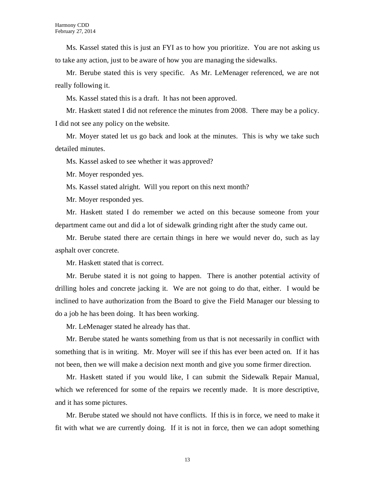Ms. Kassel stated this is just an FYI as to how you prioritize. You are not asking us to take any action, just to be aware of how you are managing the sidewalks.

Mr. Berube stated this is very specific. As Mr. LeMenager referenced, we are not really following it.

Ms. Kassel stated this is a draft. It has not been approved.

Mr. Haskett stated I did not reference the minutes from 2008. There may be a policy. I did not see any policy on the website.

Mr. Moyer stated let us go back and look at the minutes. This is why we take such detailed minutes.

Ms. Kassel asked to see whether it was approved?

Mr. Moyer responded yes.

Ms. Kassel stated alright. Will you report on this next month?

Mr. Moyer responded yes.

Mr. Haskett stated I do remember we acted on this because someone from your department came out and did a lot of sidewalk grinding right after the study came out.

Mr. Berube stated there are certain things in here we would never do, such as lay asphalt over concrete.

Mr. Haskett stated that is correct.

Mr. Berube stated it is not going to happen. There is another potential activity of drilling holes and concrete jacking it. We are not going to do that, either. I would be inclined to have authorization from the Board to give the Field Manager our blessing to do a job he has been doing. It has been working.

Mr. LeMenager stated he already has that.

Mr. Berube stated he wants something from us that is not necessarily in conflict with something that is in writing. Mr. Moyer will see if this has ever been acted on. If it has not been, then we will make a decision next month and give you some firmer direction.

Mr. Haskett stated if you would like, I can submit the Sidewalk Repair Manual, which we referenced for some of the repairs we recently made. It is more descriptive, and it has some pictures.

Mr. Berube stated we should not have conflicts. If this is in force, we need to make it fit with what we are currently doing. If it is not in force, then we can adopt something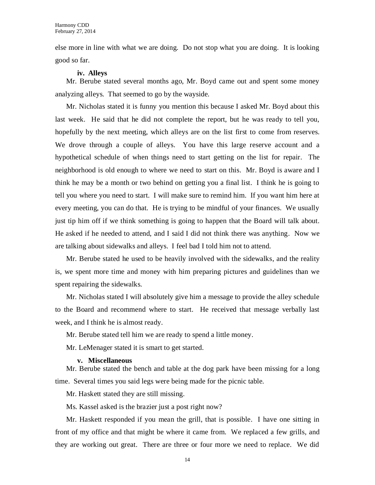else more in line with what we are doing. Do not stop what you are doing. It is looking good so far.

#### **iv. Alleys**

Mr. Berube stated several months ago, Mr. Boyd came out and spent some money analyzing alleys. That seemed to go by the wayside.

Mr. Nicholas stated it is funny you mention this because I asked Mr. Boyd about this last week. He said that he did not complete the report, but he was ready to tell you, hopefully by the next meeting, which alleys are on the list first to come from reserves. We drove through a couple of alleys. You have this large reserve account and a hypothetical schedule of when things need to start getting on the list for repair. The neighborhood is old enough to where we need to start on this. Mr. Boyd is aware and I think he may be a month or two behind on getting you a final list. I think he is going to tell you where you need to start. I will make sure to remind him. If you want him here at every meeting, you can do that. He is trying to be mindful of your finances. We usually just tip him off if we think something is going to happen that the Board will talk about. He asked if he needed to attend, and I said I did not think there was anything. Now we are talking about sidewalks and alleys. I feel bad I told him not to attend.

Mr. Berube stated he used to be heavily involved with the sidewalks, and the reality is, we spent more time and money with him preparing pictures and guidelines than we spent repairing the sidewalks.

Mr. Nicholas stated I will absolutely give him a message to provide the alley schedule to the Board and recommend where to start. He received that message verbally last week, and I think he is almost ready.

Mr. Berube stated tell him we are ready to spend a little money.

Mr. LeMenager stated it is smart to get started.

#### **v. Miscellaneous**

Mr. Berube stated the bench and table at the dog park have been missing for a long time. Several times you said legs were being made for the picnic table.

Mr. Haskett stated they are still missing.

Ms. Kassel asked is the brazier just a post right now?

Mr. Haskett responded if you mean the grill, that is possible. I have one sitting in front of my office and that might be where it came from. We replaced a few grills, and they are working out great. There are three or four more we need to replace. We did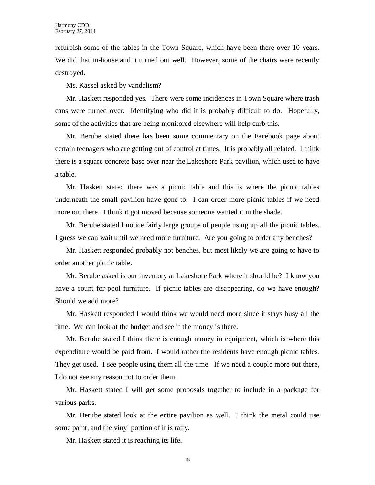refurbish some of the tables in the Town Square, which have been there over 10 years. We did that in-house and it turned out well. However, some of the chairs were recently destroyed.

Ms. Kassel asked by vandalism?

Mr. Haskett responded yes. There were some incidences in Town Square where trash cans were turned over. Identifying who did it is probably difficult to do. Hopefully, some of the activities that are being monitored elsewhere will help curb this.

Mr. Berube stated there has been some commentary on the Facebook page about certain teenagers who are getting out of control at times. It is probably all related. I think there is a square concrete base over near the Lakeshore Park pavilion, which used to have a table.

Mr. Haskett stated there was a picnic table and this is where the picnic tables underneath the small pavilion have gone to. I can order more picnic tables if we need more out there. I think it got moved because someone wanted it in the shade.

Mr. Berube stated I notice fairly large groups of people using up all the picnic tables. I guess we can wait until we need more furniture. Are you going to order any benches?

Mr. Haskett responded probably not benches, but most likely we are going to have to order another picnic table.

Mr. Berube asked is our inventory at Lakeshore Park where it should be? I know you have a count for pool furniture. If picnic tables are disappearing, do we have enough? Should we add more?

Mr. Haskett responded I would think we would need more since it stays busy all the time. We can look at the budget and see if the money is there.

Mr. Berube stated I think there is enough money in equipment, which is where this expenditure would be paid from. I would rather the residents have enough picnic tables. They get used. I see people using them all the time. If we need a couple more out there, I do not see any reason not to order them.

Mr. Haskett stated I will get some proposals together to include in a package for various parks.

Mr. Berube stated look at the entire pavilion as well. I think the metal could use some paint, and the vinyl portion of it is ratty.

Mr. Haskett stated it is reaching its life.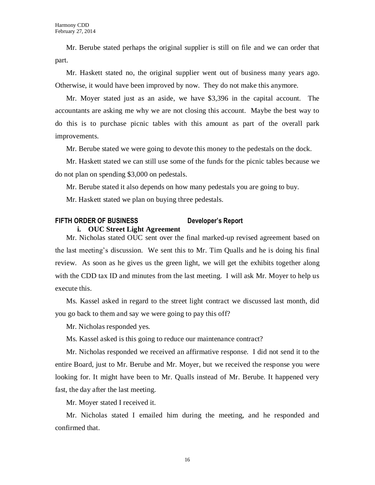Mr. Berube stated perhaps the original supplier is still on file and we can order that part.

Mr. Haskett stated no, the original supplier went out of business many years ago. Otherwise, it would have been improved by now. They do not make this anymore.

Mr. Moyer stated just as an aside, we have \$3,396 in the capital account. The accountants are asking me why we are not closing this account. Maybe the best way to do this is to purchase picnic tables with this amount as part of the overall park improvements.

Mr. Berube stated we were going to devote this money to the pedestals on the dock.

Mr. Haskett stated we can still use some of the funds for the picnic tables because we do not plan on spending \$3,000 on pedestals.

Mr. Berube stated it also depends on how many pedestals you are going to buy.

Mr. Haskett stated we plan on buying three pedestals.

#### **FIFTH ORDER OF BUSINESS Developer's Report i. OUC Street Light Agreement**

Mr. Nicholas stated OUC sent over the final marked-up revised agreement based on the last meeting's discussion. We sent this to Mr. Tim Qualls and he is doing his final review. As soon as he gives us the green light, we will get the exhibits together along with the CDD tax ID and minutes from the last meeting. I will ask Mr. Moyer to help us execute this.

Ms. Kassel asked in regard to the street light contract we discussed last month, did you go back to them and say we were going to pay this off?

Mr. Nicholas responded yes.

Ms. Kassel asked is this going to reduce our maintenance contract?

Mr. Nicholas responded we received an affirmative response. I did not send it to the entire Board, just to Mr. Berube and Mr. Moyer, but we received the response you were looking for. It might have been to Mr. Qualls instead of Mr. Berube. It happened very fast, the day after the last meeting.

Mr. Moyer stated I received it.

Mr. Nicholas stated I emailed him during the meeting, and he responded and confirmed that.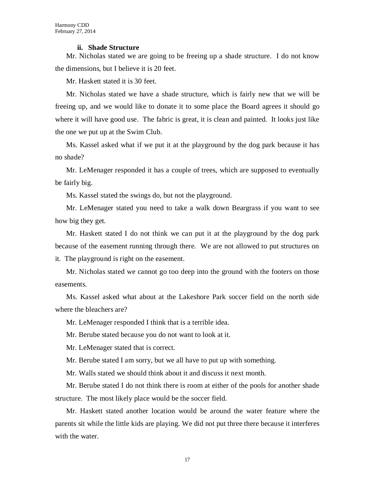#### **ii. Shade Structure**

Mr. Nicholas stated we are going to be freeing up a shade structure. I do not know the dimensions, but I believe it is 20 feet.

Mr. Haskett stated it is 30 feet.

Mr. Nicholas stated we have a shade structure, which is fairly new that we will be freeing up, and we would like to donate it to some place the Board agrees it should go where it will have good use. The fabric is great, it is clean and painted. It looks just like the one we put up at the Swim Club.

Ms. Kassel asked what if we put it at the playground by the dog park because it has no shade?

Mr. LeMenager responded it has a couple of trees, which are supposed to eventually be fairly big.

Ms. Kassel stated the swings do, but not the playground.

Mr. LeMenager stated you need to take a walk down Beargrass if you want to see how big they get.

Mr. Haskett stated I do not think we can put it at the playground by the dog park because of the easement running through there. We are not allowed to put structures on it. The playground is right on the easement.

Mr. Nicholas stated we cannot go too deep into the ground with the footers on those easements.

Ms. Kassel asked what about at the Lakeshore Park soccer field on the north side where the bleachers are?

Mr. LeMenager responded I think that is a terrible idea.

Mr. Berube stated because you do not want to look at it.

Mr. LeMenager stated that is correct.

Mr. Berube stated I am sorry, but we all have to put up with something.

Mr. Walls stated we should think about it and discuss it next month.

Mr. Berube stated I do not think there is room at either of the pools for another shade structure. The most likely place would be the soccer field.

Mr. Haskett stated another location would be around the water feature where the parents sit while the little kids are playing. We did not put three there because it interferes with the water.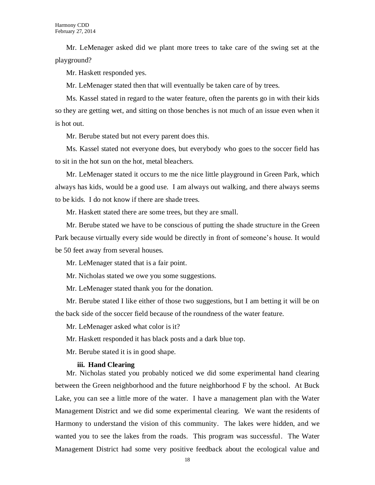Mr. LeMenager asked did we plant more trees to take care of the swing set at the playground?

Mr. Haskett responded yes.

Mr. LeMenager stated then that will eventually be taken care of by trees.

Ms. Kassel stated in regard to the water feature, often the parents go in with their kids so they are getting wet, and sitting on those benches is not much of an issue even when it is hot out.

Mr. Berube stated but not every parent does this.

Ms. Kassel stated not everyone does, but everybody who goes to the soccer field has to sit in the hot sun on the hot, metal bleachers.

Mr. LeMenager stated it occurs to me the nice little playground in Green Park, which always has kids, would be a good use. I am always out walking, and there always seems to be kids. I do not know if there are shade trees.

Mr. Haskett stated there are some trees, but they are small.

Mr. Berube stated we have to be conscious of putting the shade structure in the Green Park because virtually every side would be directly in front of someone's house. It would be 50 feet away from several houses.

Mr. LeMenager stated that is a fair point.

Mr. Nicholas stated we owe you some suggestions.

Mr. LeMenager stated thank you for the donation.

Mr. Berube stated I like either of those two suggestions, but I am betting it will be on the back side of the soccer field because of the roundness of the water feature.

Mr. LeMenager asked what color is it?

Mr. Haskett responded it has black posts and a dark blue top.

Mr. Berube stated it is in good shape.

#### **iii. Hand Clearing**

Mr. Nicholas stated you probably noticed we did some experimental hand clearing between the Green neighborhood and the future neighborhood F by the school. At Buck Lake, you can see a little more of the water. I have a management plan with the Water Management District and we did some experimental clearing. We want the residents of Harmony to understand the vision of this community. The lakes were hidden, and we wanted you to see the lakes from the roads. This program was successful. The Water Management District had some very positive feedback about the ecological value and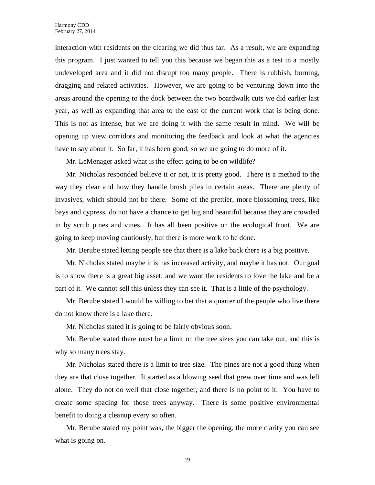interaction with residents on the clearing we did thus far. As a result, we are expanding this program. I just wanted to tell you this because we began this as a test in a mostly undeveloped area and it did not disrupt too many people. There is rubbish, burning, dragging and related activities. However, we are going to be venturing down into the areas around the opening to the dock between the two boardwalk cuts we did earlier last year, as well as expanding that area to the east of the current work that is being done. This is not as intense, but we are doing it with the same result in mind. We will be opening up view corridors and monitoring the feedback and look at what the agencies have to say about it. So far, it has been good, so we are going to do more of it.

Mr. LeMenager asked what is the effect going to be on wildlife?

Mr. Nicholas responded believe it or not, it is pretty good. There is a method to the way they clear and how they handle brush piles in certain areas. There are plenty of invasives, which should not be there. Some of the prettier, more blossoming trees, like bays and cypress, do not have a chance to get big and beautiful because they are crowded in by scrub pines and vines. It has all been positive on the ecological front. We are going to keep moving cautiously, but there is more work to be done.

Mr. Berube stated letting people see that there is a lake back there is a big positive.

Mr. Nicholas stated maybe it is has increased activity, and maybe it has not. Our goal is to show there is a great big asset, and we want the residents to love the lake and be a part of it. We cannot sell this unless they can see it. That is a little of the psychology.

Mr. Berube stated I would be willing to bet that a quarter of the people who live there do not know there is a lake there.

Mr. Nicholas stated it is going to be fairly obvious soon.

Mr. Berube stated there must be a limit on the tree sizes you can take out, and this is why so many trees stay.

Mr. Nicholas stated there is a limit to tree size. The pines are not a good thing when they are that close together. It started as a blowing seed that grew over time and was left alone. They do not do well that close together, and there is no point to it. You have to create some spacing for those trees anyway. There is some positive environmental benefit to doing a cleanup every so often.

Mr. Berube stated my point was, the bigger the opening, the more clarity you can see what is going on.

19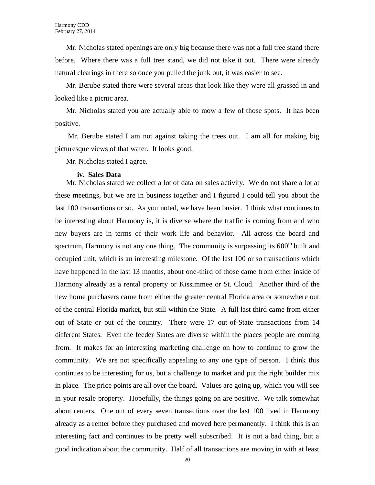Mr. Nicholas stated openings are only big because there was not a full tree stand there before. Where there was a full tree stand, we did not take it out. There were already natural clearings in there so once you pulled the junk out, it was easier to see.

Mr. Berube stated there were several areas that look like they were all grassed in and looked like a picnic area.

Mr. Nicholas stated you are actually able to mow a few of those spots. It has been positive.

Mr. Berube stated I am not against taking the trees out. I am all for making big picturesque views of that water. It looks good.

Mr. Nicholas stated I agree.

#### **iv. Sales Data**

Mr. Nicholas stated we collect a lot of data on sales activity. We do not share a lot at these meetings, but we are in business together and I figured I could tell you about the last 100 transactions or so. As you noted, we have been busier. I think what continues to be interesting about Harmony is, it is diverse where the traffic is coming from and who new buyers are in terms of their work life and behavior. All across the board and spectrum, Harmony is not any one thing. The community is surpassing its  $600<sup>th</sup>$  built and occupied unit, which is an interesting milestone. Of the last 100 or so transactions which have happened in the last 13 months, about one-third of those came from either inside of Harmony already as a rental property or Kissimmee or St. Cloud. Another third of the new home purchasers came from either the greater central Florida area or somewhere out of the central Florida market, but still within the State. A full last third came from either out of State or out of the country. There were 17 out-of-State transactions from 14 different States. Even the feeder States are diverse within the places people are coming from. It makes for an interesting marketing challenge on how to continue to grow the community. We are not specifically appealing to any one type of person. I think this continues to be interesting for us, but a challenge to market and put the right builder mix in place. The price points are all over the board. Values are going up, which you will see in your resale property. Hopefully, the things going on are positive. We talk somewhat about renters. One out of every seven transactions over the last 100 lived in Harmony already as a renter before they purchased and moved here permanently. I think this is an interesting fact and continues to be pretty well subscribed. It is not a bad thing, but a good indication about the community. Half of all transactions are moving in with at least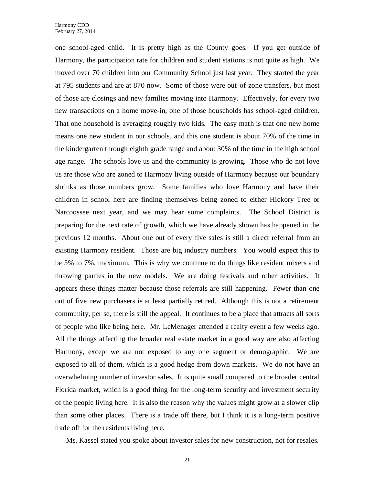one school-aged child. It is pretty high as the County goes. If you get outside of Harmony, the participation rate for children and student stations is not quite as high. We moved over 70 children into our Community School just last year. They started the year at 795 students and are at 870 now. Some of those were out-of-zone transfers, but most of those are closings and new families moving into Harmony. Effectively, for every two new transactions on a home move-in, one of those households has school-aged children. That one household is averaging roughly two kids. The easy math is that one new home means one new student in our schools, and this one student is about 70% of the time in the kindergarten through eighth grade range and about 30% of the time in the high school age range. The schools love us and the community is growing. Those who do not love us are those who are zoned to Harmony living outside of Harmony because our boundary shrinks as those numbers grow. Some families who love Harmony and have their children in school here are finding themselves being zoned to either Hickory Tree or Narcoossee next year, and we may hear some complaints. The School District is preparing for the next rate of growth, which we have already shown has happened in the previous 12 months. About one out of every five sales is still a direct referral from an existing Harmony resident. Those are big industry numbers. You would expect this to be 5% to 7%, maximum. This is why we continue to do things like resident mixers and throwing parties in the new models. We are doing festivals and other activities. It appears these things matter because those referrals are still happening. Fewer than one out of five new purchasers is at least partially retired. Although this is not a retirement community, per se, there is still the appeal. It continues to be a place that attracts all sorts of people who like being here. Mr. LeMenager attended a realty event a few weeks ago. All the things affecting the broader real estate market in a good way are also affecting Harmony, except we are not exposed to any one segment or demographic. We are exposed to all of them, which is a good hedge from down markets. We do not have an overwhelming number of investor sales. It is quite small compared to the broader central Florida market, which is a good thing for the long-term security and investment security of the people living here. It is also the reason why the values might grow at a slower clip than some other places. There is a trade off there, but I think it is a long-term positive trade off for the residents living here.

Ms. Kassel stated you spoke about investor sales for new construction, not for resales.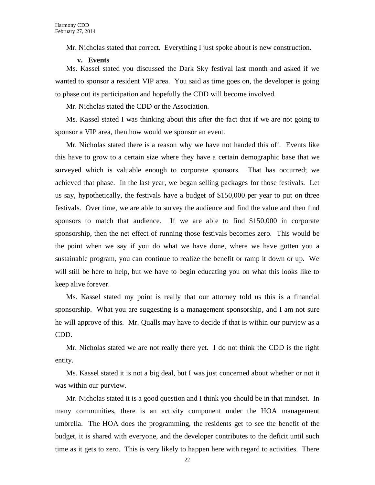Mr. Nicholas stated that correct. Everything I just spoke about is new construction.

**v. Events**

Ms. Kassel stated you discussed the Dark Sky festival last month and asked if we wanted to sponsor a resident VIP area. You said as time goes on, the developer is going to phase out its participation and hopefully the CDD will become involved.

Mr. Nicholas stated the CDD or the Association.

Ms. Kassel stated I was thinking about this after the fact that if we are not going to sponsor a VIP area, then how would we sponsor an event.

Mr. Nicholas stated there is a reason why we have not handed this off. Events like this have to grow to a certain size where they have a certain demographic base that we surveyed which is valuable enough to corporate sponsors. That has occurred; we achieved that phase. In the last year, we began selling packages for those festivals. Let us say, hypothetically, the festivals have a budget of \$150,000 per year to put on three festivals. Over time, we are able to survey the audience and find the value and then find sponsors to match that audience. If we are able to find \$150,000 in corporate sponsorship, then the net effect of running those festivals becomes zero. This would be the point when we say if you do what we have done, where we have gotten you a sustainable program, you can continue to realize the benefit or ramp it down or up. We will still be here to help, but we have to begin educating you on what this looks like to keep alive forever.

Ms. Kassel stated my point is really that our attorney told us this is a financial sponsorship. What you are suggesting is a management sponsorship, and I am not sure he will approve of this. Mr. Qualls may have to decide if that is within our purview as a CDD.

Mr. Nicholas stated we are not really there yet. I do not think the CDD is the right entity.

Ms. Kassel stated it is not a big deal, but I was just concerned about whether or not it was within our purview.

Mr. Nicholas stated it is a good question and I think you should be in that mindset. In many communities, there is an activity component under the HOA management umbrella. The HOA does the programming, the residents get to see the benefit of the budget, it is shared with everyone, and the developer contributes to the deficit until such time as it gets to zero. This is very likely to happen here with regard to activities. There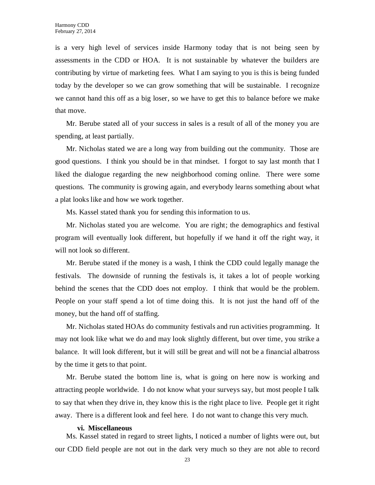is a very high level of services inside Harmony today that is not being seen by assessments in the CDD or HOA. It is not sustainable by whatever the builders are contributing by virtue of marketing fees. What I am saying to you is this is being funded today by the developer so we can grow something that will be sustainable. I recognize we cannot hand this off as a big loser, so we have to get this to balance before we make that move.

Mr. Berube stated all of your success in sales is a result of all of the money you are spending, at least partially.

Mr. Nicholas stated we are a long way from building out the community. Those are good questions. I think you should be in that mindset. I forgot to say last month that I liked the dialogue regarding the new neighborhood coming online. There were some questions. The community is growing again, and everybody learns something about what a plat looks like and how we work together.

Ms. Kassel stated thank you for sending this information to us.

Mr. Nicholas stated you are welcome. You are right; the demographics and festival program will eventually look different, but hopefully if we hand it off the right way, it will not look so different.

Mr. Berube stated if the money is a wash, I think the CDD could legally manage the festivals. The downside of running the festivals is, it takes a lot of people working behind the scenes that the CDD does not employ. I think that would be the problem. People on your staff spend a lot of time doing this. It is not just the hand off of the money, but the hand off of staffing.

Mr. Nicholas stated HOAs do community festivals and run activities programming. It may not look like what we do and may look slightly different, but over time, you strike a balance. It will look different, but it will still be great and will not be a financial albatross by the time it gets to that point.

Mr. Berube stated the bottom line is, what is going on here now is working and attracting people worldwide. I do not know what your surveys say, but most people I talk to say that when they drive in, they know this is the right place to live. People get it right away. There is a different look and feel here. I do not want to change this very much.

#### **vi. Miscellaneous**

Ms. Kassel stated in regard to street lights, I noticed a number of lights were out, but our CDD field people are not out in the dark very much so they are not able to record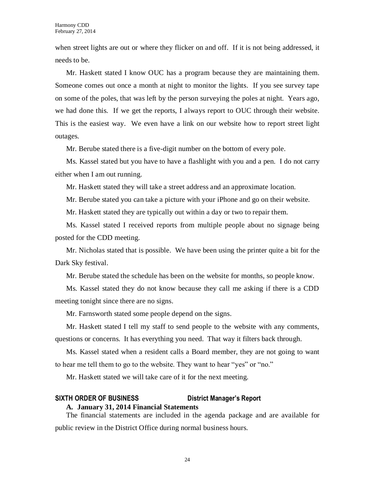when street lights are out or where they flicker on and off. If it is not being addressed, it needs to be.

Mr. Haskett stated I know OUC has a program because they are maintaining them. Someone comes out once a month at night to monitor the lights. If you see survey tape on some of the poles, that was left by the person surveying the poles at night. Years ago, we had done this. If we get the reports, I always report to OUC through their website. This is the easiest way. We even have a link on our website how to report street light outages.

Mr. Berube stated there is a five-digit number on the bottom of every pole.

Ms. Kassel stated but you have to have a flashlight with you and a pen. I do not carry either when I am out running.

Mr. Haskett stated they will take a street address and an approximate location.

Mr. Berube stated you can take a picture with your iPhone and go on their website.

Mr. Haskett stated they are typically out within a day or two to repair them.

Ms. Kassel stated I received reports from multiple people about no signage being posted for the CDD meeting.

Mr. Nicholas stated that is possible. We have been using the printer quite a bit for the Dark Sky festival.

Mr. Berube stated the schedule has been on the website for months, so people know.

Ms. Kassel stated they do not know because they call me asking if there is a CDD meeting tonight since there are no signs.

Mr. Farnsworth stated some people depend on the signs.

Mr. Haskett stated I tell my staff to send people to the website with any comments, questions or concerns. It has everything you need. That way it filters back through.

Ms. Kassel stated when a resident calls a Board member, they are not going to want to hear me tell them to go to the website. They want to hear "yes" or "no."

Mr. Haskett stated we will take care of it for the next meeting.

## **SIXTH ORDER OF BUSINESS District Manager's Report A. January 31, 2014 Financial Statements**

The financial statements are included in the agenda package and are available for public review in the District Office during normal business hours.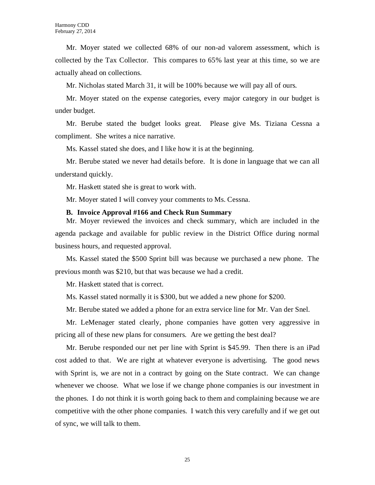Mr. Moyer stated we collected 68% of our non-ad valorem assessment, which is collected by the Tax Collector. This compares to 65% last year at this time, so we are actually ahead on collections.

Mr. Nicholas stated March 31, it will be 100% because we will pay all of ours.

Mr. Moyer stated on the expense categories, every major category in our budget is under budget.

Mr. Berube stated the budget looks great. Please give Ms. Tiziana Cessna a compliment. She writes a nice narrative.

Ms. Kassel stated she does, and I like how it is at the beginning.

Mr. Berube stated we never had details before. It is done in language that we can all understand quickly.

Mr. Haskett stated she is great to work with.

Mr. Moyer stated I will convey your comments to Ms. Cessna.

#### **B. Invoice Approval #166 and Check Run Summary**

Mr. Moyer reviewed the invoices and check summary, which are included in the agenda package and available for public review in the District Office during normal business hours, and requested approval.

Ms. Kassel stated the \$500 Sprint bill was because we purchased a new phone. The previous month was \$210, but that was because we had a credit.

Mr. Haskett stated that is correct.

Ms. Kassel stated normally it is \$300, but we added a new phone for \$200.

Mr. Berube stated we added a phone for an extra service line for Mr. Van der Snel.

Mr. LeMenager stated clearly, phone companies have gotten very aggressive in pricing all of these new plans for consumers. Are we getting the best deal?

Mr. Berube responded our net per line with Sprint is \$45.99. Then there is an iPad cost added to that. We are right at whatever everyone is advertising. The good news with Sprint is, we are not in a contract by going on the State contract. We can change whenever we choose. What we lose if we change phone companies is our investment in the phones. I do not think it is worth going back to them and complaining because we are competitive with the other phone companies. I watch this very carefully and if we get out of sync, we will talk to them.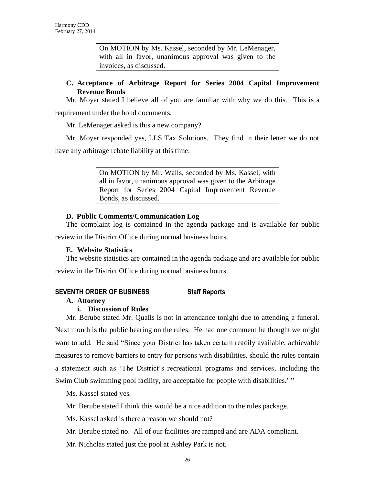On MOTION by Ms. Kassel, seconded by Mr. LeMenager, with all in favor, unanimous approval was given to the invoices, as discussed.

## **C. Acceptance of Arbitrage Report for Series 2004 Capital Improvement Revenue Bonds**

Mr. Moyer stated I believe all of you are familiar with why we do this. This is a requirement under the bond documents.

Mr. LeMenager asked is this a new company?

Mr. Moyer responded yes, LLS Tax Solutions. They find in their letter we do not have any arbitrage rebate liability at this time.

> On MOTION by Mr. Walls, seconded by Ms. Kassel, with all in favor, unanimous approval was given to the Arbitrage Report for Series 2004 Capital Improvement Revenue Bonds, as discussed.

## **D. Public Comments/Communication Log**

The complaint log is contained in the agenda package and is available for public review in the District Office during normal business hours.

## **E. Website Statistics**

The website statistics are contained in the agenda package and are available for public review in the District Office during normal business hours.

## **SEVENTH ORDER OF BUSINESS Staff Reports**

## **A. Attorney**

## **i. Discussion of Rules**

Mr. Berube stated Mr. Qualls is not in attendance tonight due to attending a funeral. Next month is the public hearing on the rules. He had one comment he thought we might want to add. He said "Since your District has taken certain readily available, achievable measures to remove barriers to entry for persons with disabilities, should the rules contain a statement such as 'The District's recreational programs and services, including the Swim Club swimming pool facility, are acceptable for people with disabilities.' "

Ms. Kassel stated yes.

Mr. Berube stated I think this would be a nice addition to the rules package.

Ms. Kassel asked is there a reason we should not?

Mr. Berube stated no. All of our facilities are ramped and are ADA compliant.

Mr. Nicholas stated just the pool at Ashley Park is not.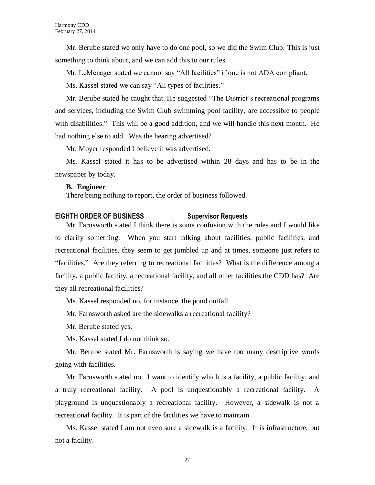Mr. Berube stated we only have to do one pool, so we did the Swim Club. This is just something to think about, and we can add this to our rules.

Mr. LeMenager stated we cannot say "All facilities" if one is not ADA compliant.

Ms. Kassel stated we can say "All types of facilities."

Mr. Berube stated he caught that. He suggested "The District's recreational programs and services, including the Swim Club swimming pool facility, are accessible to people with disabilities." This will be a good addition, and we will handle this next month. He had nothing else to add. Was the hearing advertised?

Mr. Moyer responded I believe it was advertised.

Ms. Kassel stated it has to be advertised within 28 days and has to be in the newspaper by today.

#### **B. Engineer**

There being nothing to report, the order of business followed.

## **EIGHTH ORDER OF BUSINESS Supervisor Requests**

Mr. Farnsworth stated I think there is some confusion with the rules and I would like to clarify something. When you start talking about facilities, public facilities, and recreational facilities, they seem to get jumbled up and at times, someone just refers to "facilities." Are they referring to recreational facilities? What is the difference among a facility, a public facility, a recreational facility, and all other facilities the CDD has? Are they all recreational facilities?

Ms. Kassel responded no, for instance, the pond outfall.

Mr. Farnsworth asked are the sidewalks a recreational facility?

Mr. Berube stated yes.

Ms. Kassel stated I do not think so.

Mr. Berube stated Mr. Farnsworth is saying we have too many descriptive words going with facilities.

Mr. Farnsworth stated no. I want to identify which is a facility, a public facility, and a truly recreational facility. A pool is unquestionably a recreational facility. A playground is unquestionably a recreational facility. However, a sidewalk is not a recreational facility. It is part of the facilities we have to maintain.

Ms. Kassel stated I am not even sure a sidewalk is a facility. It is infrastructure, but not a facility.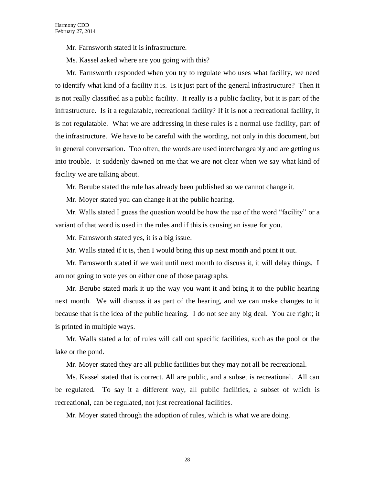Mr. Farnsworth stated it is infrastructure.

Ms. Kassel asked where are you going with this?

Mr. Farnsworth responded when you try to regulate who uses what facility, we need to identify what kind of a facility it is. Is it just part of the general infrastructure? Then it is not really classified as a public facility. It really is a public facility, but it is part of the infrastructure. Is it a regulatable, recreational facility? If it is not a recreational facility, it is not regulatable. What we are addressing in these rules is a normal use facility, part of the infrastructure. We have to be careful with the wording, not only in this document, but in general conversation. Too often, the words are used interchangeably and are getting us into trouble. It suddenly dawned on me that we are not clear when we say what kind of facility we are talking about.

Mr. Berube stated the rule has already been published so we cannot change it.

Mr. Moyer stated you can change it at the public hearing.

Mr. Walls stated I guess the question would be how the use of the word "facility" or a variant of that word is used in the rules and if this is causing an issue for you.

Mr. Farnsworth stated yes, it is a big issue.

Mr. Walls stated if it is, then I would bring this up next month and point it out.

Mr. Farnsworth stated if we wait until next month to discuss it, it will delay things. I am not going to vote yes on either one of those paragraphs.

Mr. Berube stated mark it up the way you want it and bring it to the public hearing next month. We will discuss it as part of the hearing, and we can make changes to it because that is the idea of the public hearing. I do not see any big deal. You are right; it is printed in multiple ways.

Mr. Walls stated a lot of rules will call out specific facilities, such as the pool or the lake or the pond.

Mr. Moyer stated they are all public facilities but they may not all be recreational.

Ms. Kassel stated that is correct. All are public, and a subset is recreational. All can be regulated. To say it a different way, all public facilities, a subset of which is recreational, can be regulated, not just recreational facilities.

Mr. Moyer stated through the adoption of rules, which is what we are doing.

28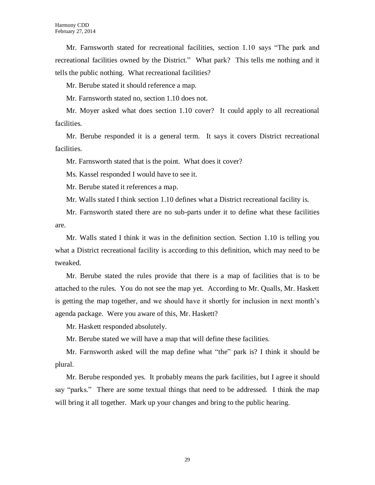Mr. Farnsworth stated for recreational facilities, section 1.10 says "The park and recreational facilities owned by the District." What park? This tells me nothing and it tells the public nothing. What recreational facilities?

Mr. Berube stated it should reference a map.

Mr. Farnsworth stated no, section 1.10 does not.

Mr. Moyer asked what does section 1.10 cover? It could apply to all recreational facilities.

Mr. Berube responded it is a general term. It says it covers District recreational facilities.

Mr. Farnsworth stated that is the point. What does it cover?

Ms. Kassel responded I would have to see it.

Mr. Berube stated it references a map.

Mr. Walls stated I think section 1.10 defines what a District recreational facility is.

Mr. Farnsworth stated there are no sub-parts under it to define what these facilities are.

Mr. Walls stated I think it was in the definition section. Section 1.10 is telling you what a District recreational facility is according to this definition, which may need to be tweaked.

Mr. Berube stated the rules provide that there is a map of facilities that is to be attached to the rules. You do not see the map yet. According to Mr. Qualls, Mr. Haskett is getting the map together, and we should have it shortly for inclusion in next month's agenda package. Were you aware of this, Mr. Haskett?

Mr. Haskett responded absolutely.

Mr. Berube stated we will have a map that will define these facilities.

Mr. Farnsworth asked will the map define what "the" park is? I think it should be plural.

Mr. Berube responded yes. It probably means the park facilities, but I agree it should say "parks." There are some textual things that need to be addressed. I think the map will bring it all together. Mark up your changes and bring to the public hearing.